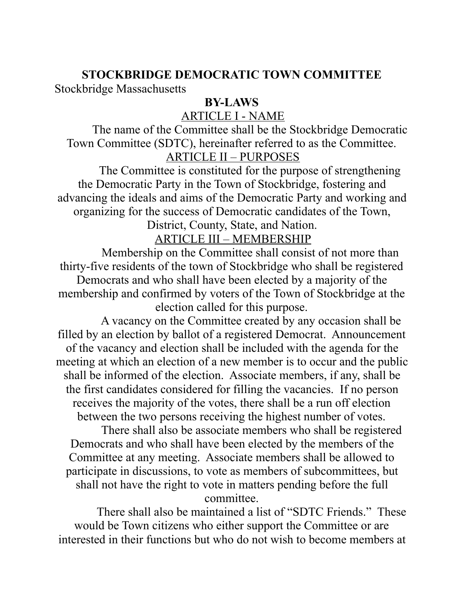#### **STOCKBRIDGE DEMOCRATIC TOWN COMMITTEE**

Stockbridge Massachusetts

### **BY-LAWS**

# ARTICLE I - NAME

 The name of the Committee shall be the Stockbridge Democratic Town Committee (SDTC), hereinafter referred to as the Committee. ARTICLE II – PURPOSES

 The Committee is constituted for the purpose of strengthening the Democratic Party in the Town of Stockbridge, fostering and advancing the ideals and aims of the Democratic Party and working and organizing for the success of Democratic candidates of the Town,

District, County, State, and Nation.

ARTICLE III – MEMBERSHIP

 Membership on the Committee shall consist of not more than thirty-five residents of the town of Stockbridge who shall be registered Democrats and who shall have been elected by a majority of the membership and confirmed by voters of the Town of Stockbridge at the election called for this purpose.

 A vacancy on the Committee created by any occasion shall be filled by an election by ballot of a registered Democrat. Announcement of the vacancy and election shall be included with the agenda for the meeting at which an election of a new member is to occur and the public shall be informed of the election. Associate members, if any, shall be the first candidates considered for filling the vacancies. If no person receives the majority of the votes, there shall be a run off election between the two persons receiving the highest number of votes.

 There shall also be associate members who shall be registered Democrats and who shall have been elected by the members of the Committee at any meeting. Associate members shall be allowed to participate in discussions, to vote as members of subcommittees, but shall not have the right to vote in matters pending before the full

committee.

 There shall also be maintained a list of "SDTC Friends." These would be Town citizens who either support the Committee or are interested in their functions but who do not wish to become members at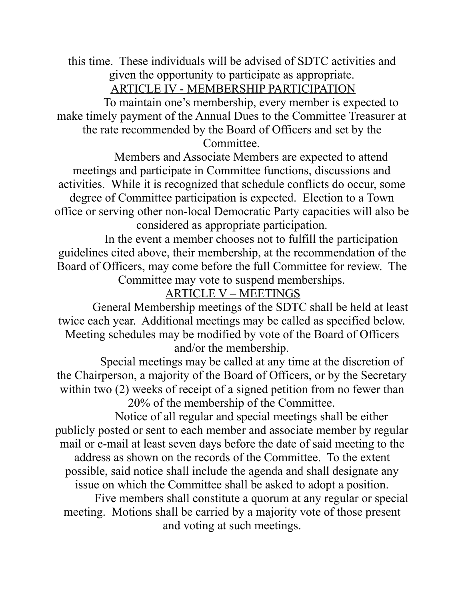this time. These individuals will be advised of SDTC activities and given the opportunity to participate as appropriate. ARTICLE IV - MEMBERSHIP PARTICIPATION

 To maintain one's membership, every member is expected to make timely payment of the Annual Dues to the Committee Treasurer at the rate recommended by the Board of Officers and set by the Committee.

 Members and Associate Members are expected to attend meetings and participate in Committee functions, discussions and activities. While it is recognized that schedule conflicts do occur, some degree of Committee participation is expected. Election to a Town office or serving other non-local Democratic Party capacities will also be considered as appropriate participation.

 In the event a member chooses not to fulfill the participation guidelines cited above, their membership, at the recommendation of the Board of Officers, may come before the full Committee for review. The Committee may vote to suspend memberships.

# ARTICLE V – MEETINGS

 General Membership meetings of the SDTC shall be held at least twice each year. Additional meetings may be called as specified below. Meeting schedules may be modified by vote of the Board of Officers and/or the membership.

 Special meetings may be called at any time at the discretion of the Chairperson, a majority of the Board of Officers, or by the Secretary within two (2) weeks of receipt of a signed petition from no fewer than 20% of the membership of the Committee.

 Notice of all regular and special meetings shall be either publicly posted or sent to each member and associate member by regular mail or e-mail at least seven days before the date of said meeting to the address as shown on the records of the Committee. To the extent possible, said notice shall include the agenda and shall designate any issue on which the Committee shall be asked to adopt a position.

 Five members shall constitute a quorum at any regular or special meeting. Motions shall be carried by a majority vote of those present and voting at such meetings.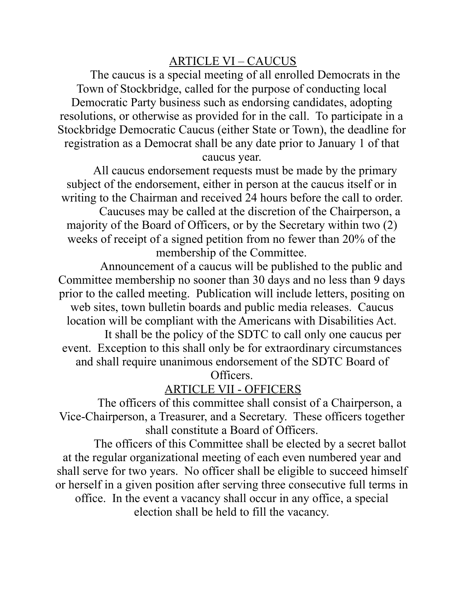#### ARTICLE VI – CAUCUS

 The caucus is a special meeting of all enrolled Democrats in the Town of Stockbridge, called for the purpose of conducting local Democratic Party business such as endorsing candidates, adopting resolutions, or otherwise as provided for in the call. To participate in a Stockbridge Democratic Caucus (either State or Town), the deadline for registration as a Democrat shall be any date prior to January 1 of that caucus year.

 All caucus endorsement requests must be made by the primary subject of the endorsement, either in person at the caucus itself or in writing to the Chairman and received 24 hours before the call to order. Caucuses may be called at the discretion of the Chairperson, a

majority of the Board of Officers, or by the Secretary within two (2) weeks of receipt of a signed petition from no fewer than 20% of the membership of the Committee.

 Announcement of a caucus will be published to the public and Committee membership no sooner than 30 days and no less than 9 days prior to the called meeting. Publication will include letters, positing on web sites, town bulletin boards and public media releases. Caucus location will be compliant with the Americans with Disabilities Act.

 It shall be the policy of the SDTC to call only one caucus per event. Exception to this shall only be for extraordinary circumstances and shall require unanimous endorsement of the SDTC Board of

Officers.

### ARTICLE VII - OFFICERS

 The officers of this committee shall consist of a Chairperson, a Vice-Chairperson, a Treasurer, and a Secretary. These officers together shall constitute a Board of Officers.

 The officers of this Committee shall be elected by a secret ballot at the regular organizational meeting of each even numbered year and shall serve for two years. No officer shall be eligible to succeed himself or herself in a given position after serving three consecutive full terms in office. In the event a vacancy shall occur in any office, a special election shall be held to fill the vacancy.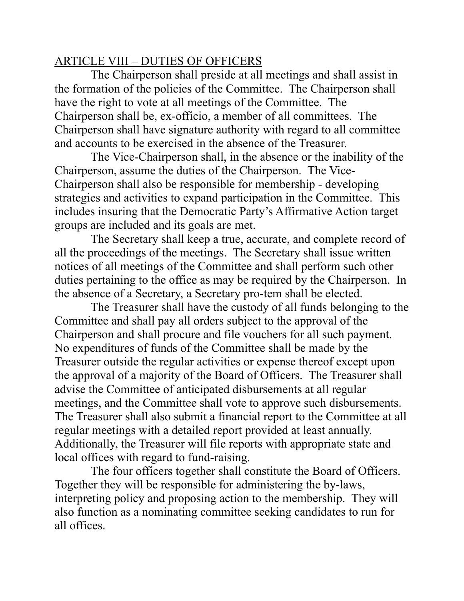#### ARTICLE VIII – DUTIES OF OFFICERS

 The Chairperson shall preside at all meetings and shall assist in the formation of the policies of the Committee. The Chairperson shall have the right to vote at all meetings of the Committee. The Chairperson shall be, ex-officio, a member of all committees. The Chairperson shall have signature authority with regard to all committee and accounts to be exercised in the absence of the Treasurer.

 The Vice-Chairperson shall, in the absence or the inability of the Chairperson, assume the duties of the Chairperson. The Vice-Chairperson shall also be responsible for membership - developing strategies and activities to expand participation in the Committee. This includes insuring that the Democratic Party's Affirmative Action target groups are included and its goals are met.

 The Secretary shall keep a true, accurate, and complete record of all the proceedings of the meetings. The Secretary shall issue written notices of all meetings of the Committee and shall perform such other duties pertaining to the office as may be required by the Chairperson. In the absence of a Secretary, a Secretary pro-tem shall be elected.

 The Treasurer shall have the custody of all funds belonging to the Committee and shall pay all orders subject to the approval of the Chairperson and shall procure and file vouchers for all such payment. No expenditures of funds of the Committee shall be made by the Treasurer outside the regular activities or expense thereof except upon the approval of a majority of the Board of Officers. The Treasurer shall advise the Committee of anticipated disbursements at all regular meetings, and the Committee shall vote to approve such disbursements. The Treasurer shall also submit a financial report to the Committee at all regular meetings with a detailed report provided at least annually. Additionally, the Treasurer will file reports with appropriate state and local offices with regard to fund-raising.

 The four officers together shall constitute the Board of Officers. Together they will be responsible for administering the by-laws, interpreting policy and proposing action to the membership. They will also function as a nominating committee seeking candidates to run for all offices.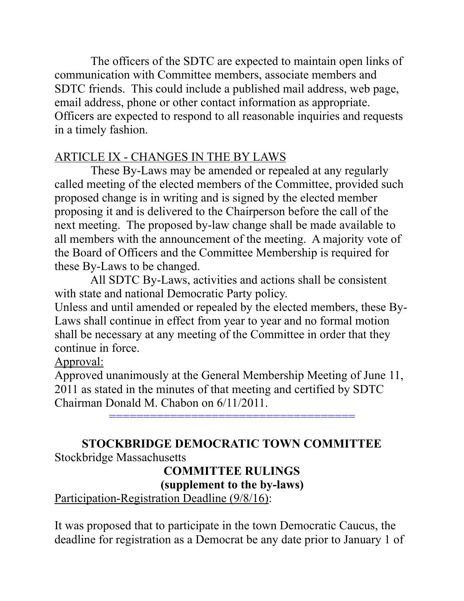The officers of the SDTC are expected to maintain open links of communication with Committee members, associate members and SDTC friends. This could include a published mail address, web page, email address, phone or other contact information as appropriate. Officers are expected to respond to all reasonable inquiries and requests in a timely fashion.

# ARTICLE IX - CHANGES IN THE BY LAWS

 These By-Laws may be amended or repealed at any regularly called meeting of the elected members of the Committee, provided such proposed change is in writing and is signed by the elected member proposing it and is delivered to the Chairperson before the call of the next meeting. The proposed by-law change shall be made available to all members with the announcement of the meeting. A majority vote of the Board of Officers and the Committee Membership is required for these By-Laws to be changed.

 All SDTC By-Laws, activities and actions shall be consistent with state and national Democratic Party policy.

Unless and until amended or repealed by the elected members, these By-Laws shall continue in effect from year to year and no formal motion shall be necessary at any meeting of the Committee in order that they continue in force.

### Approval:

Approved unanimously at the General Membership Meeting of June 11, 2011 as stated in the minutes of that meeting and certified by SDTC Chairman Donald M. Chabon on 6/11/2011.

====================================

# **STOCKBRIDGE DEMOCRATIC TOWN COMMITTEE**

Stockbridge Massachusetts

# **COMMITTEE RULINGS**

**(supplement to the by-laws)**

Participation-Registration Deadline (9/8/16):

It was proposed that to participate in the town Democratic Caucus, the deadline for registration as a Democrat be any date prior to January 1 of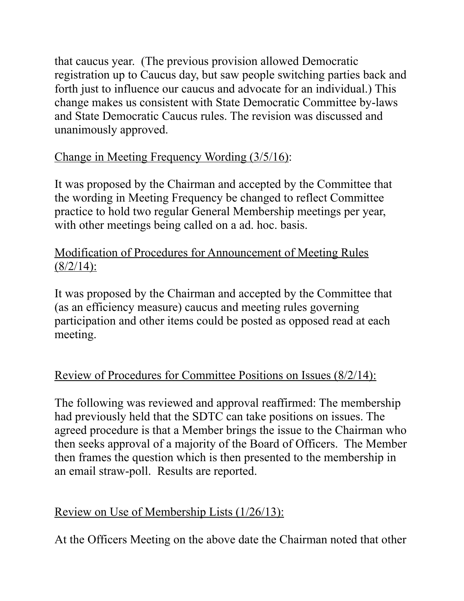that caucus year. (The previous provision allowed Democratic registration up to Caucus day, but saw people switching parties back and forth just to influence our caucus and advocate for an individual.) This change makes us consistent with State Democratic Committee by-laws and State Democratic Caucus rules. The revision was discussed and unanimously approved.

# Change in Meeting Frequency Wording (3/5/16):

It was proposed by the Chairman and accepted by the Committee that the wording in Meeting Frequency be changed to reflect Committee practice to hold two regular General Membership meetings per year, with other meetings being called on a ad. hoc. basis.

# Modification of Procedures for Announcement of Meeting Rules  $(8/2/14)$ :

It was proposed by the Chairman and accepted by the Committee that (as an efficiency measure) caucus and meeting rules governing participation and other items could be posted as opposed read at each meeting.

# Review of Procedures for Committee Positions on Issues (8/2/14):

The following was reviewed and approval reaffirmed: The membership had previously held that the SDTC can take positions on issues. The agreed procedure is that a Member brings the issue to the Chairman who then seeks approval of a majority of the Board of Officers. The Member then frames the question which is then presented to the membership in an email straw-poll. Results are reported.

# Review on Use of Membership Lists (1/26/13):

At the Officers Meeting on the above date the Chairman noted that other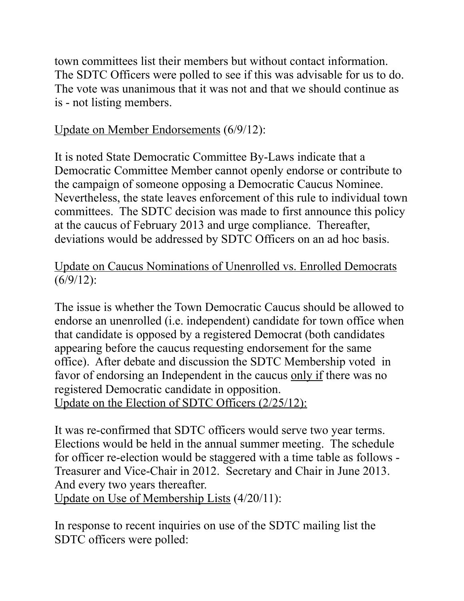town committees list their members but without contact information. The SDTC Officers were polled to see if this was advisable for us to do. The vote was unanimous that it was not and that we should continue as is - not listing members.

# Update on Member Endorsements (6/9/12):

It is noted State Democratic Committee By-Laws indicate that a Democratic Committee Member cannot openly endorse or contribute to the campaign of someone opposing a Democratic Caucus Nominee. Nevertheless, the state leaves enforcement of this rule to individual town committees. The SDTC decision was made to first announce this policy at the caucus of February 2013 and urge compliance. Thereafter, deviations would be addressed by SDTC Officers on an ad hoc basis.

# Update on Caucus Nominations of Unenrolled vs. Enrolled Democrats  $(6/9/12)$ :

The issue is whether the Town Democratic Caucus should be allowed to endorse an unenrolled (i.e. independent) candidate for town office when that candidate is opposed by a registered Democrat (both candidates appearing before the caucus requesting endorsement for the same office). After debate and discussion the SDTC Membership voted in favor of endorsing an Independent in the caucus <u>only if</u> there was no registered Democratic candidate in opposition. Update on the Election of SDTC Officers (2/25/12):

It was re-confirmed that SDTC officers would serve two year terms. Elections would be held in the annual summer meeting. The schedule for officer re-election would be staggered with a time table as follows - Treasurer and Vice-Chair in 2012. Secretary and Chair in June 2013. And every two years thereafter. Update on Use of Membership Lists (4/20/11):

In response to recent inquiries on use of the SDTC mailing list the SDTC officers were polled: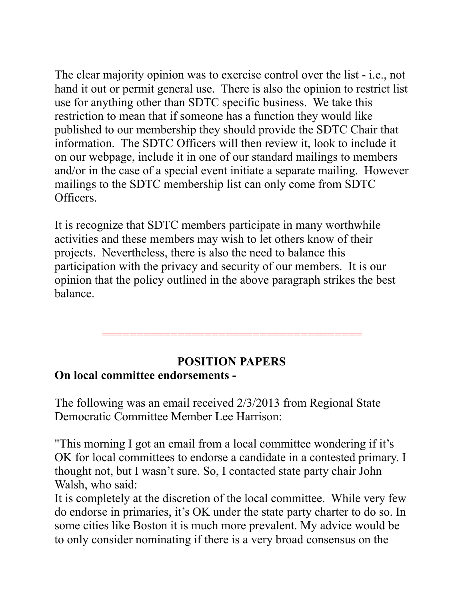The clear majority opinion was to exercise control over the list - i.e., not hand it out or permit general use. There is also the opinion to restrict list use for anything other than SDTC specific business. We take this restriction to mean that if someone has a function they would like published to our membership they should provide the SDTC Chair that information. The SDTC Officers will then review it, look to include it on our webpage, include it in one of our standard mailings to members and/or in the case of a special event initiate a separate mailing. However mailings to the SDTC membership list can only come from SDTC Officers.

It is recognize that SDTC members participate in many worthwhile activities and these members may wish to let others know of their projects. Nevertheless, there is also the need to balance this participation with the privacy and security of our members. It is our opinion that the policy outlined in the above paragraph strikes the best balance.

======================================

#### **POSITION PAPERS On local committee endorsements -**

The following was an email received 2/3/2013 from Regional State Democratic Committee Member Lee Harrison:

"This morning I got an email from a local committee wondering if it's OK for local committees to endorse a candidate in a contested primary. I thought not, but I wasn't sure. So, I contacted state party chair John Walsh, who said:

It is completely at the discretion of the local committee. While very few do endorse in primaries, it's OK under the state party charter to do so. In some cities like Boston it is much more prevalent. My advice would be to only consider nominating if there is a very broad consensus on the